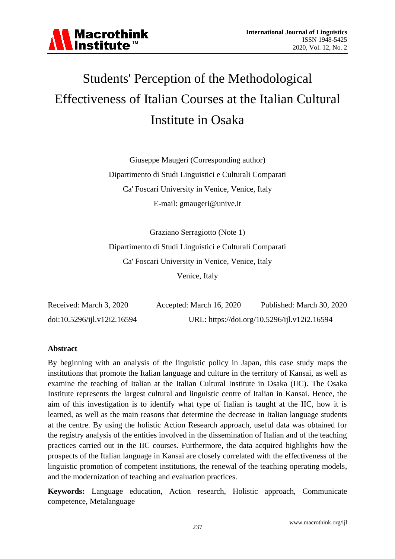

# Students' Perception of the Methodological Effectiveness of Italian Courses at the Italian Cultural Institute in Osaka

Giuseppe Maugeri (Corresponding author) Dipartimento di Studi Linguistici e Culturali Comparati Ca' Foscari University in Venice, Venice, Italy E-mail: gmaugeri@unive.it

Graziano Serragiotto (Note 1) Dipartimento di Studi Linguistici e Culturali Comparati Ca' Foscari University in Venice, Venice, Italy Venice, Italy

| Received: March 3, 2020     | Accepted: March 16, 2020 | Published: March 30, 2020                    |
|-----------------------------|--------------------------|----------------------------------------------|
| doi:10.5296/ijl.v12i2.16594 |                          | URL: https://doi.org/10.5296/ijl.v12i2.16594 |

#### **Abstract**

By beginning with an analysis of the linguistic policy in Japan, this case study maps the institutions that promote the Italian language and culture in the territory of Kansai, as well as examine the teaching of Italian at the Italian Cultural Institute in Osaka (IIC). The Osaka Institute represents the largest cultural and linguistic centre of Italian in Kansai. Hence, the aim of this investigation is to identify what type of Italian is taught at the IIC, how it is learned, as well as the main reasons that determine the decrease in Italian language students at the centre. By using the holistic Action Research approach, useful data was obtained for the registry analysis of the entities involved in the dissemination of Italian and of the teaching practices carried out in the IIC courses. Furthermore, the data acquired highlights how the prospects of the Italian language in Kansai are closely correlated with the effectiveness of the linguistic promotion of competent institutions, the renewal of the teaching operating models, and the modernization of teaching and evaluation practices.

**Keywords:** Language education, Action research, Holistic approach, Communicate competence, Metalanguage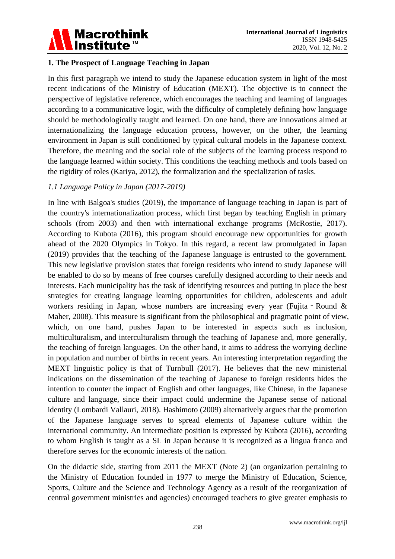

#### **1. The Prospect of Language Teaching in Japan**

In this first paragraph we intend to study the Japanese education system in light of the most recent indications of the Ministry of Education (MEXT). The objective is to connect the perspective of legislative reference, which encourages the teaching and learning of languages according to a communicative logic, with the difficulty of completely defining how language should be methodologically taught and learned. On one hand, there are innovations aimed at internationalizing the language education process, however, on the other, the learning environment in Japan is still conditioned by typical cultural models in the Japanese context. Therefore, the meaning and the social role of the subjects of the learning process respond to the language learned within society. This conditions the teaching methods and tools based on the rigidity of roles (Kariya, 2012), the formalization and the specialization of tasks.

#### *1.1 Language Policy in Japan (2017-2019)*

In line with Balgoa's studies (2019), the importance of language teaching in Japan is part of the country's internationalization process, which first began by teaching English in primary schools (from 2003) and then with international exchange programs (McRostie, 2017). According to Kubota (2016), this program should encourage new opportunities for growth ahead of the 2020 Olympics in Tokyo. In this regard, a recent law promulgated in Japan (2019) provides that the teaching of the Japanese language is entrusted to the government. This new legislative provision states that foreign residents who intend to study Japanese will be enabled to do so by means of free courses carefully designed according to their needs and interests. Each municipality has the task of identifying resources and putting in place the best strategies for creating language learning opportunities for children, adolescents and adult workers residing in Japan, whose numbers are increasing every year (Fujita - Round  $\&$ Maher, 2008). This measure is significant from the philosophical and pragmatic point of view, which, on one hand, pushes Japan to be interested in aspects such as inclusion, multiculturalism, and interculturalism through the teaching of Japanese and, more generally, the teaching of foreign languages. On the other hand, it aims to address the worrying decline in population and number of births in recent years. An interesting interpretation regarding the MEXT linguistic policy is that of Turnbull (2017). He believes that the new ministerial indications on the dissemination of the teaching of Japanese to foreign residents hides the intention to counter the impact of English and other languages, like Chinese, in the Japanese culture and language, since their impact could undermine the Japanese sense of national identity (Lombardi Vallauri, 2018). Hashimoto (2009) alternatively argues that the promotion of the Japanese language serves to spread elements of Japanese culture within the international community. An intermediate position is expressed by Kubota (2016), according to whom English is taught as a SL in Japan because it is recognized as a lingua franca and therefore serves for the economic interests of the nation.

On the didactic side, starting from 2011 the MEXT (Note 2) (an organization pertaining to the Ministry of Education founded in 1977 to merge the Ministry of Education, Science, Sports, Culture and the Science and Technology Agency as a result of the reorganization of central government ministries and agencies) encouraged teachers to give greater emphasis to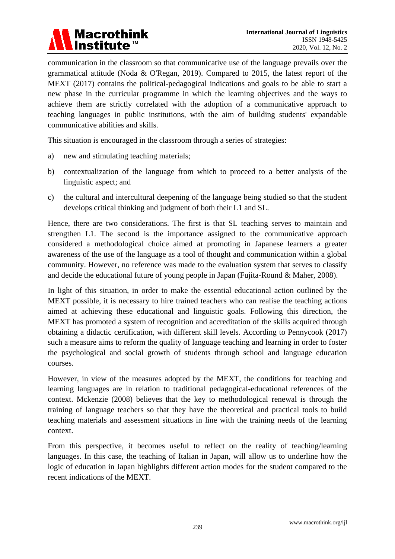

communication in the classroom so that communicative use of the language prevails over the grammatical attitude (Noda & O'Regan, 2019). Compared to 2015, the latest report of the MEXT (2017) contains the political-pedagogical indications and goals to be able to start a new phase in the curricular programme in which the learning objectives and the ways to achieve them are strictly correlated with the adoption of a communicative approach to teaching languages in public institutions, with the aim of building students' expandable communicative abilities and skills.

This situation is encouraged in the classroom through a series of strategies:

- a) new and stimulating teaching materials;
- b) contextualization of the language from which to proceed to a better analysis of the linguistic aspect; and
- c) the cultural and intercultural deepening of the language being studied so that the student develops critical thinking and judgment of both their L1 and SL.

Hence, there are two considerations. The first is that SL teaching serves to maintain and strengthen L1. The second is the importance assigned to the communicative approach considered a methodological choice aimed at promoting in Japanese learners a greater awareness of the use of the language as a tool of thought and communication within a global community. However, no reference was made to the evaluation system that serves to classify and decide the educational future of young people in Japan (Fujita-Round & Maher, 2008).

In light of this situation, in order to make the essential educational action outlined by the MEXT possible, it is necessary to hire trained teachers who can realise the teaching actions aimed at achieving these educational and linguistic goals. Following this direction, the MEXT has promoted a system of recognition and accreditation of the skills acquired through obtaining a didactic certification, with different skill levels. According to Pennycook (2017) such a measure aims to reform the quality of language teaching and learning in order to foster the psychological and social growth of students through school and language education courses.

However, in view of the measures adopted by the MEXT, the conditions for teaching and learning languages are in relation to traditional pedagogical-educational references of the context. Mckenzie (2008) believes that the key to methodological renewal is through the training of language teachers so that they have the theoretical and practical tools to build teaching materials and assessment situations in line with the training needs of the learning context.

From this perspective, it becomes useful to reflect on the reality of teaching/learning languages. In this case, the teaching of Italian in Japan, will allow us to underline how the logic of education in Japan highlights different action modes for the student compared to the recent indications of the MEXT.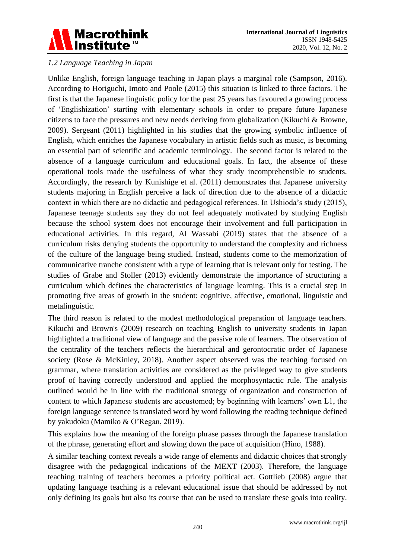

#### *1.2 Language Teaching in Japan*

Unlike English, foreign language teaching in Japan plays a marginal role (Sampson, 2016). According to Horiguchi, Imoto and Poole (2015) this situation is linked to three factors. The first is that the Japanese linguistic policy for the past 25 years has favoured a growing process of "Englishization" starting with elementary schools in order to prepare future Japanese citizens to face the pressures and new needs deriving from globalization (Kikuchi & Browne, 2009). Sergeant (2011) highlighted in his studies that the growing symbolic influence of English, which enriches the Japanese vocabulary in artistic fields such as music, is becoming an essential part of scientific and academic terminology. The second factor is related to the absence of a language curriculum and educational goals. In fact, the absence of these operational tools made the usefulness of what they study incomprehensible to students. Accordingly, the research by Kunishige et al. (2011) demonstrates that Japanese university students majoring in English perceive a lack of direction due to the absence of a didactic context in which there are no didactic and pedagogical references. In Ushioda"s study (2015), Japanese teenage students say they do not feel adequately motivated by studying English because the school system does not encourage their involvement and full participation in educational activities. In this regard, Al Wassabi (2019) states that the absence of a curriculum risks denying students the opportunity to understand the complexity and richness of the culture of the language being studied. Instead, students come to the memorization of communicative tranche consistent with a type of learning that is relevant only for testing. The studies of Grabe and Stoller (2013) evidently demonstrate the importance of structuring a curriculum which defines the characteristics of language learning. This is a crucial step in promoting five areas of growth in the student: cognitive, affective, emotional, linguistic and metalinguistic.

The third reason is related to the modest methodological preparation of language teachers. Kikuchi and Brown's (2009) research on teaching English to university students in Japan highlighted a traditional view of language and the passive role of learners. The observation of the centrality of the teachers reflects the hierarchical and gerontocratic order of Japanese society (Rose & McKinley, 2018). Another aspect observed was the teaching focused on grammar, where translation activities are considered as the privileged way to give students proof of having correctly understood and applied the morphosyntactic rule. The analysis outlined would be in line with the traditional strategy of organization and construction of content to which Japanese students are accustomed; by beginning with learners' own L1, the foreign language sentence is translated word by word following the reading technique defined by yakudoku (Mamiko & O"Regan, 2019).

This explains how the meaning of the foreign phrase passes through the Japanese translation of the phrase, generating effort and slowing down the pace of acquisition (Hino, 1988).

A similar teaching context reveals a wide range of elements and didactic choices that strongly disagree with the pedagogical indications of the MEXT (2003). Therefore, the language teaching training of teachers becomes a priority political act. Gottlieb (2008) argue that updating language teaching is a relevant educational issue that should be addressed by not only defining its goals but also its course that can be used to translate these goals into reality.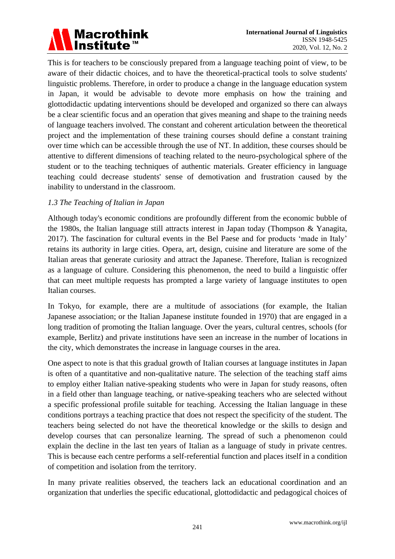# Macrothink<br>Institute™

This is for teachers to be consciously prepared from a language teaching point of view, to be aware of their didactic choices, and to have the theoretical-practical tools to solve students' linguistic problems. Therefore, in order to produce a change in the language education system in Japan, it would be advisable to devote more emphasis on how the training and glottodidactic updating interventions should be developed and organized so there can always be a clear scientific focus and an operation that gives meaning and shape to the training needs of language teachers involved. The constant and coherent articulation between the theoretical project and the implementation of these training courses should define a constant training over time which can be accessible through the use of NT. In addition, these courses should be attentive to different dimensions of teaching related to the neuro-psychological sphere of the student or to the teaching techniques of authentic materials. Greater efficiency in language teaching could decrease students' sense of demotivation and frustration caused by the inability to understand in the classroom.

#### *1.3 The Teaching of Italian in Japan*

Although today's economic conditions are profoundly different from the economic bubble of the 1980s, the Italian language still attracts interest in Japan today (Thompson & Yanagita, 2017). The fascination for cultural events in the Bel Paese and for products "made in Italy" retains its authority in large cities. Opera, art, design, cuisine and literature are some of the Italian areas that generate curiosity and attract the Japanese. Therefore, Italian is recognized as a language of culture. Considering this phenomenon, the need to build a linguistic offer that can meet multiple requests has prompted a large variety of language institutes to open Italian courses.

In Tokyo, for example, there are a multitude of associations (for example, the Italian Japanese association; or the Italian Japanese institute founded in 1970) that are engaged in a long tradition of promoting the Italian language. Over the years, cultural centres, schools (for example, Berlitz) and private institutions have seen an increase in the number of locations in the city, which demonstrates the increase in language courses in the area.

One aspect to note is that this gradual growth of Italian courses at language institutes in Japan is often of a quantitative and non-qualitative nature. The selection of the teaching staff aims to employ either Italian native-speaking students who were in Japan for study reasons, often in a field other than language teaching, or native-speaking teachers who are selected without a specific professional profile suitable for teaching. Accessing the Italian language in these conditions portrays a teaching practice that does not respect the specificity of the student. The teachers being selected do not have the theoretical knowledge or the skills to design and develop courses that can personalize learning. The spread of such a phenomenon could explain the decline in the last ten years of Italian as a language of study in private centres. This is because each centre performs a self-referential function and places itself in a condition of competition and isolation from the territory.

In many private realities observed, the teachers lack an educational coordination and an organization that underlies the specific educational, glottodidactic and pedagogical choices of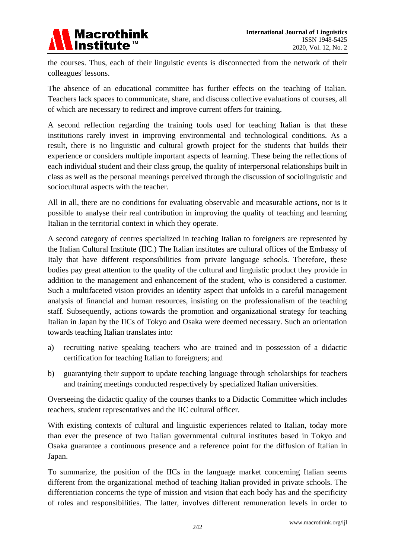

the courses. Thus, each of their linguistic events is disconnected from the network of their colleagues' lessons.

The absence of an educational committee has further effects on the teaching of Italian. Teachers lack spaces to communicate, share, and discuss collective evaluations of courses, all of which are necessary to redirect and improve current offers for training.

A second reflection regarding the training tools used for teaching Italian is that these institutions rarely invest in improving environmental and technological conditions. As a result, there is no linguistic and cultural growth project for the students that builds their experience or considers multiple important aspects of learning. These being the reflections of each individual student and their class group, the quality of interpersonal relationships built in class as well as the personal meanings perceived through the discussion of sociolinguistic and sociocultural aspects with the teacher.

All in all, there are no conditions for evaluating observable and measurable actions, nor is it possible to analyse their real contribution in improving the quality of teaching and learning Italian in the territorial context in which they operate.

A second category of centres specialized in teaching Italian to foreigners are represented by the Italian Cultural Institute (IIC.) The Italian institutes are cultural offices of the Embassy of Italy that have different responsibilities from private language schools. Therefore, these bodies pay great attention to the quality of the cultural and linguistic product they provide in addition to the management and enhancement of the student, who is considered a customer. Such a multifaceted vision provides an identity aspect that unfolds in a careful management analysis of financial and human resources, insisting on the professionalism of the teaching staff. Subsequently, actions towards the promotion and organizational strategy for teaching Italian in Japan by the IICs of Tokyo and Osaka were deemed necessary. Such an orientation towards teaching Italian translates into:

- a) recruiting native speaking teachers who are trained and in possession of a didactic certification for teaching Italian to foreigners; and
- b) guarantying their support to update teaching language through scholarships for teachers and training meetings conducted respectively by specialized Italian universities.

Overseeing the didactic quality of the courses thanks to a Didactic Committee which includes teachers, student representatives and the IIC cultural officer.

With existing contexts of cultural and linguistic experiences related to Italian, today more than ever the presence of two Italian governmental cultural institutes based in Tokyo and Osaka guarantee a continuous presence and a reference point for the diffusion of Italian in Japan.

To summarize, the position of the IICs in the language market concerning Italian seems different from the organizational method of teaching Italian provided in private schools. The differentiation concerns the type of mission and vision that each body has and the specificity of roles and responsibilities. The latter, involves different remuneration levels in order to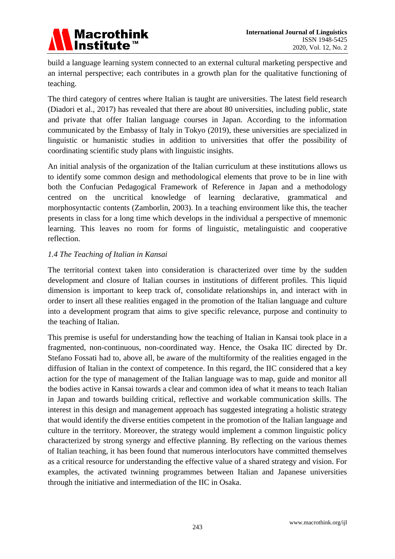

build a language learning system connected to an external cultural marketing perspective and an internal perspective; each contributes in a growth plan for the qualitative functioning of teaching.

The third category of centres where Italian is taught are universities. The latest field research (Diadori et al., 2017) has revealed that there are about 80 universities, including public, state and private that offer Italian language courses in Japan. According to the information communicated by the Embassy of Italy in Tokyo (2019), these universities are specialized in linguistic or humanistic studies in addition to universities that offer the possibility of coordinating scientific study plans with linguistic insights.

An initial analysis of the organization of the Italian curriculum at these institutions allows us to identify some common design and methodological elements that prove to be in line with both the Confucian Pedagogical Framework of Reference in Japan and a methodology centred on the uncritical knowledge of learning declarative, grammatical and morphosyntactic contents (Zamborlin, 2003). In a teaching environment like this, the teacher presents in class for a long time which develops in the individual a perspective of mnemonic learning. This leaves no room for forms of linguistic, metalinguistic and cooperative reflection.

#### *1.4 The Teaching of Italian in Kansai*

The territorial context taken into consideration is characterized over time by the sudden development and closure of Italian courses in institutions of different profiles. This liquid dimension is important to keep track of, consolidate relationships in, and interact with in order to insert all these realities engaged in the promotion of the Italian language and culture into a development program that aims to give specific relevance, purpose and continuity to the teaching of Italian.

This premise is useful for understanding how the teaching of Italian in Kansai took place in a fragmented, non-continuous, non-coordinated way. Hence, the Osaka IIC directed by Dr. Stefano Fossati had to, above all, be aware of the multiformity of the realities engaged in the diffusion of Italian in the context of competence. In this regard, the IIC considered that a key action for the type of management of the Italian language was to map, guide and monitor all the bodies active in Kansai towards a clear and common idea of what it means to teach Italian in Japan and towards building critical, reflective and workable communication skills. The interest in this design and management approach has suggested integrating a holistic strategy that would identify the diverse entities competent in the promotion of the Italian language and culture in the territory. Moreover, the strategy would implement a common linguistic policy characterized by strong synergy and effective planning. By reflecting on the various themes of Italian teaching, it has been found that numerous interlocutors have committed themselves as a critical resource for understanding the effective value of a shared strategy and vision. For examples, the activated twinning programmes between Italian and Japanese universities through the initiative and intermediation of the IIC in Osaka.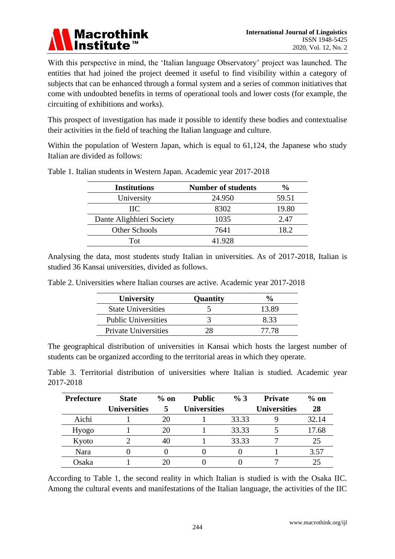

With this perspective in mind, the 'Italian language Observatory' project was launched. The entities that had joined the project deemed it useful to find visibility within a category of subjects that can be enhanced through a formal system and a series of common initiatives that come with undoubted benefits in terms of operational tools and lower costs (for example, the circuiting of exhibitions and works).

This prospect of investigation has made it possible to identify these bodies and contextualise their activities in the field of teaching the Italian language and culture.

Within the population of Western Japan, which is equal to 61,124, the Japanese who study Italian are divided as follows:

| <b>Institutions</b>      | <b>Number of students</b> | $\%$  |
|--------------------------|---------------------------|-------|
| University               | 24.950                    | 59.51 |
| $\rm{HC}$                | 8302                      | 19.80 |
| Dante Alighhieri Society | 1035                      | 2.47  |
| <b>Other Schools</b>     | 7641                      | 18.2  |
| Tot                      | 41.928                    |       |

Table 1. Italian students in Western Japan. Academic year 2017-2018

Analysing the data, most students study Italian in universities. As of 2017-2018, Italian is studied 36 Kansai universities, divided as follows.

| Table 2. Universities where Italian courses are active. Academic year 2017-2018 |  |
|---------------------------------------------------------------------------------|--|
|---------------------------------------------------------------------------------|--|

| <b>University</b>           | Quantity |       |
|-----------------------------|----------|-------|
| <b>State Universities</b>   |          | 13.89 |
| <b>Public Universities</b>  |          | 833   |
| <b>Private Universities</b> |          | 77 78 |

The geographical distribution of universities in Kansai which hosts the largest number of students can be organized according to the territorial areas in which they operate.

Table 3. Territorial distribution of universities where Italian is studied. Academic year 2017-2018

| <b>Prefecture</b> | <b>State</b>        | $\%$ on      | <b>Public</b>       | % 3   | <b>Private</b>      | $\%$ on |
|-------------------|---------------------|--------------|---------------------|-------|---------------------|---------|
|                   | <b>Universities</b> | $\mathbf{5}$ | <b>Universities</b> |       | <b>Universities</b> | 28      |
| Aichi             |                     | 20           |                     | 33.33 |                     | 32.14   |
| Hyogo             |                     | 20           |                     | 33.33 |                     | 17.68   |
| Kyoto             |                     | 40           |                     | 33.33 |                     | 25      |
| Nara              |                     |              |                     |       |                     | 3.57    |
| Osaka             |                     |              |                     |       |                     |         |

According to Table 1, the second reality in which Italian is studied is with the Osaka IIC. Among the cultural events and manifestations of the Italian language, the activities of the IIC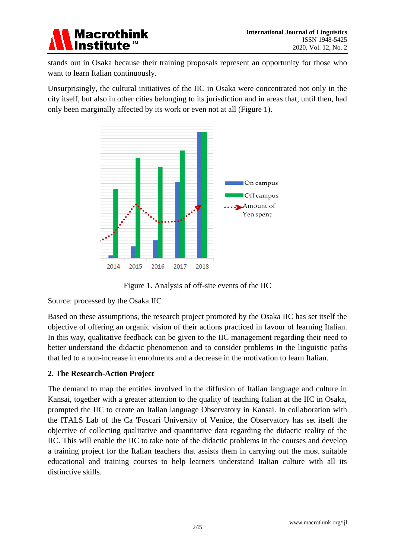

stands out in Osaka because their training proposals represent an opportunity for those who want to learn Italian continuously.

Unsurprisingly, the cultural initiatives of the IIC in Osaka were concentrated not only in the city itself, but also in other cities belonging to its jurisdiction and in areas that, until then, had only been marginally affected by its work or even not at all (Figure 1).



Figure 1. Analysis of off-site events of the IIC

Source: processed by the Osaka IIC

Based on these assumptions, the research project promoted by the Osaka IIC has set itself the objective of offering an organic vision of their actions practiced in favour of learning Italian. In this way, qualitative feedback can be given to the IIC management regarding their need to better understand the didactic phenomenon and to consider problems in the linguistic paths that led to a non-increase in enrolments and a decrease in the motivation to learn Italian.

#### **2. The Research-Action Project**

The demand to map the entities involved in the diffusion of Italian language and culture in Kansai, together with a greater attention to the quality of teaching Italian at the IIC in Osaka, prompted the IIC to create an Italian language Observatory in Kansai. In collaboration with the ITALS Lab of the Ca 'Foscari University of Venice, the Observatory has set itself the objective of collecting qualitative and quantitative data regarding the didactic reality of the IIC. This will enable the IIC to take note of the didactic problems in the courses and develop a training project for the Italian teachers that assists them in carrying out the most suitable educational and training courses to help learners understand Italian culture with all its distinctive skills.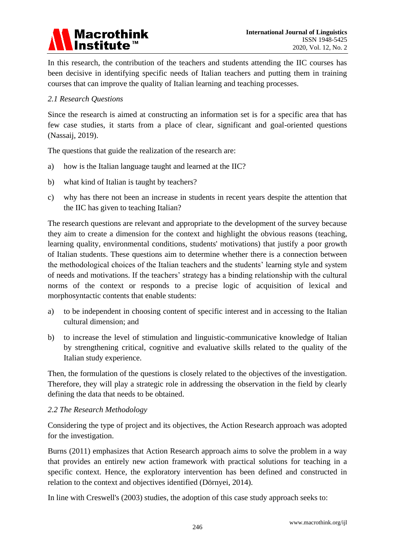

In this research, the contribution of the teachers and students attending the IIC courses has been decisive in identifying specific needs of Italian teachers and putting them in training courses that can improve the quality of Italian learning and teaching processes.

#### *2.1 Research Questions*

Since the research is aimed at constructing an information set is for a specific area that has few case studies, it starts from a place of clear, significant and goal-oriented questions (Nassaij, 2019).

The questions that guide the realization of the research are:

- a) how is the Italian language taught and learned at the IIC?
- b) what kind of Italian is taught by teachers?
- c) why has there not been an increase in students in recent years despite the attention that the IIC has given to teaching Italian?

The research questions are relevant and appropriate to the development of the survey because they aim to create a dimension for the context and highlight the obvious reasons (teaching, learning quality, environmental conditions, students' motivations) that justify a poor growth of Italian students. These questions aim to determine whether there is a connection between the methodological choices of the Italian teachers and the students" learning style and system of needs and motivations. If the teachers" strategy has a binding relationship with the cultural norms of the context or responds to a precise logic of acquisition of lexical and morphosyntactic contents that enable students:

- a) to be independent in choosing content of specific interest and in accessing to the Italian cultural dimension; and
- b) to increase the level of stimulation and linguistic-communicative knowledge of Italian by strengthening critical, cognitive and evaluative skills related to the quality of the Italian study experience.

Then, the formulation of the questions is closely related to the objectives of the investigation. Therefore, they will play a strategic role in addressing the observation in the field by clearly defining the data that needs to be obtained.

#### *2.2 The Research Methodology*

Considering the type of project and its objectives, the Action Research approach was adopted for the investigation.

Burns (2011) emphasizes that Action Research approach aims to solve the problem in a way that provides an entirely new action framework with practical solutions for teaching in a specific context. Hence, the exploratory intervention has been defined and constructed in relation to the context and objectives identified (Dörnyei, 2014).

In line with Creswell's (2003) studies, the adoption of this case study approach seeks to: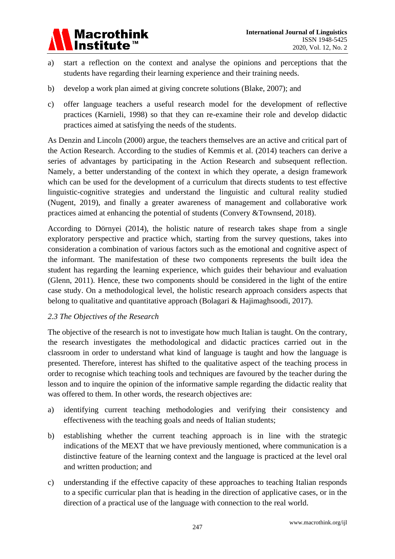

- a) start a reflection on the context and analyse the opinions and perceptions that the students have regarding their learning experience and their training needs.
- b) develop a work plan aimed at giving concrete solutions (Blake, 2007); and
- c) offer language teachers a useful research model for the development of reflective practices (Karnieli, 1998) so that they can re-examine their role and develop didactic practices aimed at satisfying the needs of the students.

As Denzin and Lincoln (2000) argue, the teachers themselves are an active and critical part of the Action Research. According to the studies of Kemmis et al. (2014) teachers can derive a series of advantages by participating in the Action Research and subsequent reflection. Namely, a better understanding of the context in which they operate, a design framework which can be used for the development of a curriculum that directs students to test effective linguistic-cognitive strategies and understand the linguistic and cultural reality studied (Nugent, 2019), and finally a greater awareness of management and collaborative work practices aimed at enhancing the potential of students (Convery &Townsend, 2018).

According to Dörnyei (2014), the holistic nature of research takes shape from a single exploratory perspective and practice which, starting from the survey questions, takes into consideration a combination of various factors such as the emotional and cognitive aspect of the informant. The manifestation of these two components represents the built idea the student has regarding the learning experience, which guides their behaviour and evaluation (Glenn, 2011). Hence, these two components should be considered in the light of the entire case study. On a methodological level, the holistic research approach considers aspects that belong to qualitative and quantitative approach (Bolagari & Hajimaghsoodi, 2017).

#### *2.3 The Objectives of the Research*

The objective of the research is not to investigate how much Italian is taught. On the contrary, the research investigates the methodological and didactic practices carried out in the classroom in order to understand what kind of language is taught and how the language is presented. Therefore, interest has shifted to the qualitative aspect of the teaching process in order to recognise which teaching tools and techniques are favoured by the teacher during the lesson and to inquire the opinion of the informative sample regarding the didactic reality that was offered to them. In other words, the research objectives are:

- a) identifying current teaching methodologies and verifying their consistency and effectiveness with the teaching goals and needs of Italian students;
- b) establishing whether the current teaching approach is in line with the strategic indications of the MEXT that we have previously mentioned, where communication is a distinctive feature of the learning context and the language is practiced at the level oral and written production; and
- c) understanding if the effective capacity of these approaches to teaching Italian responds to a specific curricular plan that is heading in the direction of applicative cases, or in the direction of a practical use of the language with connection to the real world.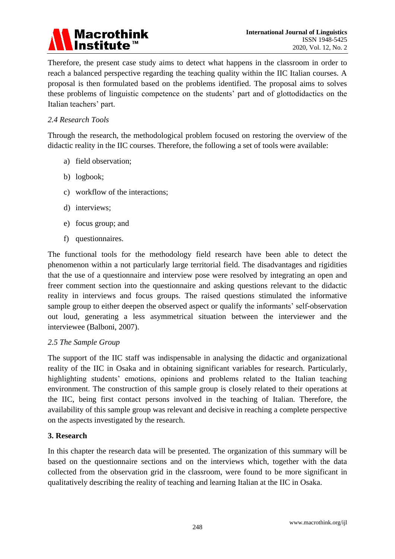### **Macrothink Institute**

Therefore, the present case study aims to detect what happens in the classroom in order to reach a balanced perspective regarding the teaching quality within the IIC Italian courses. A proposal is then formulated based on the problems identified. The proposal aims to solves these problems of linguistic competence on the students" part and of glottodidactics on the Italian teachers" part.

#### *2.4 Research Tools*

Through the research, the methodological problem focused on restoring the overview of the didactic reality in the IIC courses. Therefore, the following a set of tools were available:

- a) field observation;
- b) logbook;
- c) workflow of the interactions;
- d) interviews;
- e) focus group; and
- f) questionnaires.

The functional tools for the methodology field research have been able to detect the phenomenon within a not particularly large territorial field. The disadvantages and rigidities that the use of a questionnaire and interview pose were resolved by integrating an open and freer comment section into the questionnaire and asking questions relevant to the didactic reality in interviews and focus groups. The raised questions stimulated the informative sample group to either deepen the observed aspect or qualify the informants' self-observation out loud, generating a less asymmetrical situation between the interviewer and the interviewee (Balboni, 2007).

#### *2.5 The Sample Group*

The support of the IIC staff was indispensable in analysing the didactic and organizational reality of the IIC in Osaka and in obtaining significant variables for research. Particularly, highlighting students' emotions, opinions and problems related to the Italian teaching environment. The construction of this sample group is closely related to their operations at the IIC, being first contact persons involved in the teaching of Italian. Therefore, the availability of this sample group was relevant and decisive in reaching a complete perspective on the aspects investigated by the research.

#### **3. Research**

In this chapter the research data will be presented. The organization of this summary will be based on the questionnaire sections and on the interviews which, together with the data collected from the observation grid in the classroom, were found to be more significant in qualitatively describing the reality of teaching and learning Italian at the IIC in Osaka.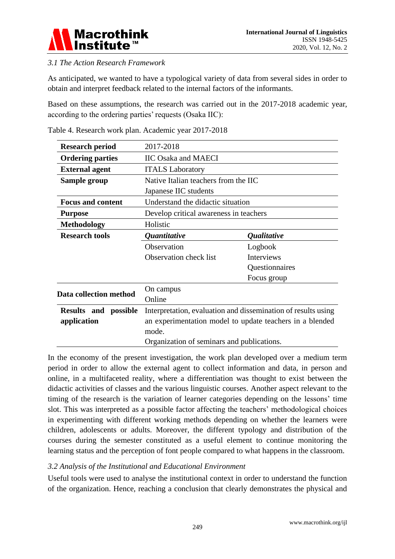

#### *3.1 The Action Research Framework*

As anticipated, we wanted to have a typological variety of data from several sides in order to obtain and interpret feedback related to the internal factors of the informants.

Based on these assumptions, the research was carried out in the 2017-2018 academic year, according to the ordering parties' requests (Osaka IIC):

| <b>Research period</b>         | 2017-2018                                                     |                           |  |  |  |  |  |
|--------------------------------|---------------------------------------------------------------|---------------------------|--|--|--|--|--|
| <b>Ordering parties</b>        | <b>IIC Osaka and MAECI</b>                                    |                           |  |  |  |  |  |
| <b>External agent</b>          | <b>ITALS Laboratory</b>                                       |                           |  |  |  |  |  |
| Sample group                   | Native Italian teachers from the IIC                          |                           |  |  |  |  |  |
|                                | Japanese IIC students                                         |                           |  |  |  |  |  |
| <b>Focus and content</b>       | Understand the didactic situation                             |                           |  |  |  |  |  |
| <b>Purpose</b>                 | Develop critical awareness in teachers                        |                           |  |  |  |  |  |
| <b>Methodology</b>             | Holistic                                                      |                           |  |  |  |  |  |
| <b>Research tools</b>          | <i><b>Quantitative</b></i>                                    | <i><b>Qualitative</b></i> |  |  |  |  |  |
|                                | Observation                                                   | Logbook                   |  |  |  |  |  |
|                                | <b>Observation check list</b>                                 | <b>Interviews</b>         |  |  |  |  |  |
|                                |                                                               | Questionnaires            |  |  |  |  |  |
|                                |                                                               | Focus group               |  |  |  |  |  |
| Data collection method         | On campus                                                     |                           |  |  |  |  |  |
|                                | Online                                                        |                           |  |  |  |  |  |
| <b>Results</b><br>and possible | Interpretation, evaluation and dissemination of results using |                           |  |  |  |  |  |
| application                    | an experimentation model to update teachers in a blended      |                           |  |  |  |  |  |
|                                | mode.                                                         |                           |  |  |  |  |  |
|                                | Organization of seminars and publications.                    |                           |  |  |  |  |  |

Table 4. Research work plan. Academic year 2017-2018

In the economy of the present investigation, the work plan developed over a medium term period in order to allow the external agent to collect information and data, in person and online, in a multifaceted reality, where a differentiation was thought to exist between the didactic activities of classes and the various linguistic courses. Another aspect relevant to the timing of the research is the variation of learner categories depending on the lessons" time slot. This was interpreted as a possible factor affecting the teachers" methodological choices in experimenting with different working methods depending on whether the learners were children, adolescents or adults. Moreover, the different typology and distribution of the courses during the semester constituted as a useful element to continue monitoring the learning status and the perception of font people compared to what happens in the classroom.

#### *3.2 Analysis of the Institutional and Educational Environment*

Useful tools were used to analyse the institutional context in order to understand the function of the organization. Hence, reaching a conclusion that clearly demonstrates the physical and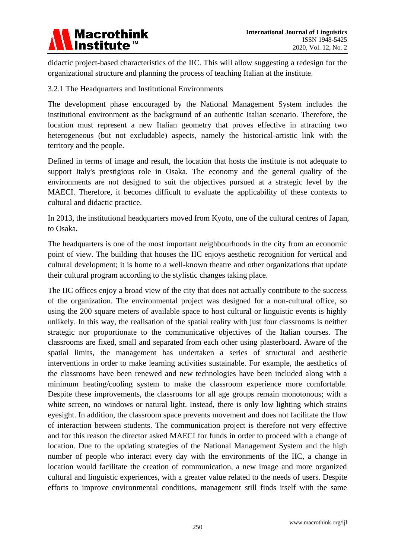

didactic project-based characteristics of the IIC. This will allow suggesting a redesign for the organizational structure and planning the process of teaching Italian at the institute.

#### 3.2.1 The Headquarters and Institutional Environments

The development phase encouraged by the National Management System includes the institutional environment as the background of an authentic Italian scenario. Therefore, the location must represent a new Italian geometry that proves effective in attracting two heterogeneous (but not excludable) aspects, namely the historical-artistic link with the territory and the people.

Defined in terms of image and result, the location that hosts the institute is not adequate to support Italy's prestigious role in Osaka. The economy and the general quality of the environments are not designed to suit the objectives pursued at a strategic level by the MAECI. Therefore, it becomes difficult to evaluate the applicability of these contexts to cultural and didactic practice.

In 2013, the institutional headquarters moved from Kyoto, one of the cultural centres of Japan, to Osaka.

The headquarters is one of the most important neighbourhoods in the city from an economic point of view. The building that houses the IIC enjoys aesthetic recognition for vertical and cultural development; it is home to a well-known theatre and other organizations that update their cultural program according to the stylistic changes taking place.

The IIC offices enjoy a broad view of the city that does not actually contribute to the success of the organization. The environmental project was designed for a non-cultural office, so using the 200 square meters of available space to host cultural or linguistic events is highly unlikely. In this way, the realisation of the spatial reality with just four classrooms is neither strategic nor proportionate to the communicative objectives of the Italian courses. The classrooms are fixed, small and separated from each other using plasterboard. Aware of the spatial limits, the management has undertaken a series of structural and aesthetic interventions in order to make learning activities sustainable. For example, the aesthetics of the classrooms have been renewed and new technologies have been included along with a minimum heating/cooling system to make the classroom experience more comfortable. Despite these improvements, the classrooms for all age groups remain monotonous; with a white screen, no windows or natural light. Instead, there is only low lighting which strains eyesight. In addition, the classroom space prevents movement and does not facilitate the flow of interaction between students. The communication project is therefore not very effective and for this reason the director asked MAECI for funds in order to proceed with a change of location. Due to the updating strategies of the National Management System and the high number of people who interact every day with the environments of the IIC, a change in location would facilitate the creation of communication, a new image and more organized cultural and linguistic experiences, with a greater value related to the needs of users. Despite efforts to improve environmental conditions, management still finds itself with the same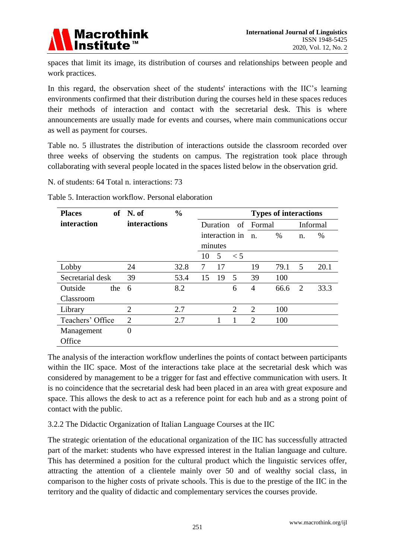

spaces that limit its image, its distribution of courses and relationships between people and work practices.

In this regard, the observation sheet of the students' interactions with the IIC"s learning environments confirmed that their distribution during the courses held in these spaces reduces their methods of interaction and contact with the secretarial desk. This is where announcements are usually made for events and courses, where main communications occur as well as payment for courses.

Table no. 5 illustrates the distribution of interactions outside the classroom recorded over three weeks of observing the students on campus. The registration took place through collaborating with several people located in the spaces listed below in the observation grid.

N. of students: 64 Total n. interactions: 73

| <b>Places</b>      | of N. of            | $\frac{0}{0}$ |    |          |                |                | <b>Types of interactions</b> |          |      |
|--------------------|---------------------|---------------|----|----------|----------------|----------------|------------------------------|----------|------|
| <i>interaction</i> | <b>interactions</b> |               |    | Duration |                | of Formal      |                              | Informal |      |
|                    |                     |               |    |          | interaction in | n.             | $\%$                         | n.       | %    |
|                    |                     |               |    | minutes  |                |                |                              |          |      |
|                    |                     |               | 10 | 5        | $\leq 5$       |                |                              |          |      |
| Lobby              | 24                  | 32.8          | 7  | 17       |                | 19             | 79.1                         | 5        | 20.1 |
| Secretarial desk   | 39                  | 53.4          | 15 | 19       | 5              | 39             | 100                          |          |      |
| Outside<br>the     | 6                   | 8.2           |    |          | 6              | $\overline{4}$ | 66.6                         | 2        | 33.3 |
| Classroom          |                     |               |    |          |                |                |                              |          |      |
| Library            | $\overline{2}$      | 2.7           |    |          | $\overline{2}$ | 2              | 100                          |          |      |
| Teachers' Office   | $\overline{2}$      | 2.7           |    |          |                | $\overline{2}$ | 100                          |          |      |
| Management         | $\overline{0}$      |               |    |          |                |                |                              |          |      |
| Office             |                     |               |    |          |                |                |                              |          |      |

Table 5. Interaction workflow. Personal elaboration

The analysis of the interaction workflow underlines the points of contact between participants within the IIC space. Most of the interactions take place at the secretarial desk which was considered by management to be a trigger for fast and effective communication with users. It is no coincidence that the secretarial desk had been placed in an area with great exposure and space. This allows the desk to act as a reference point for each hub and as a strong point of contact with the public.

#### 3.2.2 The Didactic Organization of Italian Language Courses at the IIC

The strategic orientation of the educational organization of the IIC has successfully attracted part of the market: students who have expressed interest in the Italian language and culture. This has determined a position for the cultural product which the linguistic services offer, attracting the attention of a clientele mainly over 50 and of wealthy social class, in comparison to the higher costs of private schools. This is due to the prestige of the IIC in the territory and the quality of didactic and complementary services the courses provide.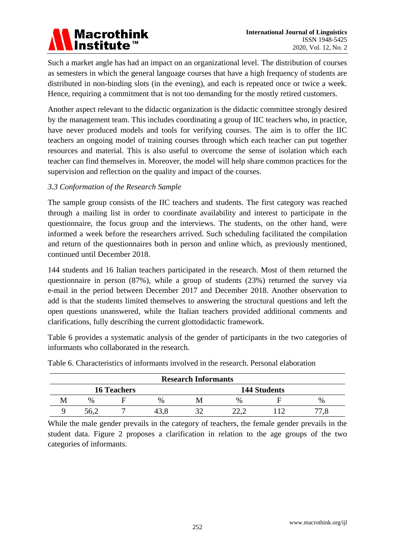## **Macrothink** Institute™

Such a market angle has had an impact on an organizational level. The distribution of courses as semesters in which the general language courses that have a high frequency of students are distributed in non-binding slots (in the evening), and each is repeated once or twice a week. Hence, requiring a commitment that is not too demanding for the mostly retired customers.

Another aspect relevant to the didactic organization is the didactic committee strongly desired by the management team. This includes coordinating a group of IIC teachers who, in practice, have never produced models and tools for verifying courses. The aim is to offer the IIC teachers an ongoing model of training courses through which each teacher can put together resources and material. This is also useful to overcome the sense of isolation which each teacher can find themselves in. Moreover, the model will help share common practices for the supervision and reflection on the quality and impact of the courses.

#### *3.3 Conformation of the Research Sample*

The sample group consists of the IIC teachers and students. The first category was reached through a mailing list in order to coordinate availability and interest to participate in the questionnaire, the focus group and the interviews. The students, on the other hand, were informed a week before the researchers arrived. Such scheduling facilitated the compilation and return of the questionnaires both in person and online which, as previously mentioned, continued until December 2018.

144 students and 16 Italian teachers participated in the research. Most of them returned the questionnaire in person (87%), while a group of students (23%) returned the survey via e-mail in the period between December 2017 and December 2018. Another observation to add is that the students limited themselves to answering the structural questions and left the open questions unanswered, while the Italian teachers provided additional comments and clarifications, fully describing the current glottodidactic framework.

Table 6 provides a systematic analysis of the gender of participants in the two categories of informants who collaborated in the research.

| <b>Research Informants</b>                |      |  |      |  |               |  |               |  |
|-------------------------------------------|------|--|------|--|---------------|--|---------------|--|
| <b>16 Teachers</b><br><b>144 Students</b> |      |  |      |  |               |  |               |  |
| M                                         | $\%$ |  | $\%$ |  | $\frac{0}{0}$ |  | $\frac{0}{0}$ |  |
|                                           | 56.2 |  |      |  | າາ 1          |  |               |  |

Table 6. Characteristics of informants involved in the research. Personal elaboration

While the male gender prevails in the category of teachers, the female gender prevails in the student data. Figure 2 proposes a clarification in relation to the age groups of the two categories of informants.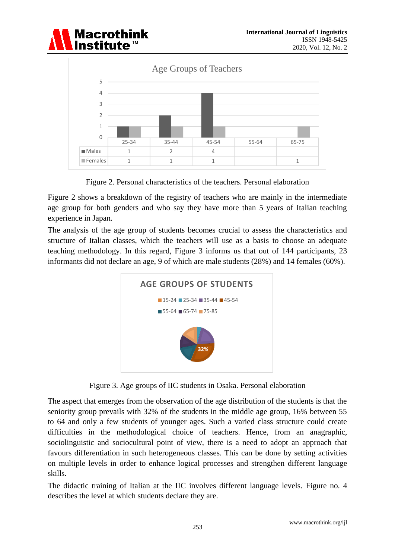



Figure 2. Personal characteristics of the teachers. Personal elaboration

Figure 2 shows a breakdown of the registry of teachers who are mainly in the intermediate age group for both genders and who say they have more than 5 years of Italian teaching experience in Japan.

The analysis of the age group of students becomes crucial to assess the characteristics and structure of Italian classes, which the teachers will use as a basis to choose an adequate teaching methodology. In this regard, Figure 3 informs us that out of 144 participants, 23 informants did not declare an age, 9 of which are male students (28%) and 14 females (60%).



Figure 3. Age groups of IIC students in Osaka. Personal elaboration

The aspect that emerges from the observation of the age distribution of the students is that the seniority group prevails with 32% of the students in the middle age group, 16% between 55 to 64 and only a few students of younger ages. Such a varied class structure could create difficulties in the methodological choice of teachers. Hence, from an anagraphic, sociolinguistic and sociocultural point of view, there is a need to adopt an approach that favours differentiation in such heterogeneous classes. This can be done by setting activities on multiple levels in order to enhance logical processes and strengthen different language skills.

The didactic training of Italian at the IIC involves different language levels. Figure no. 4 describes the level at which students declare they are.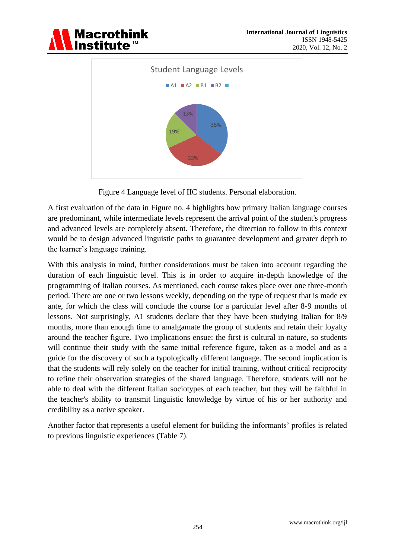





Figure 4 Language level of IIC students. Personal elaboration.

A first evaluation of the data in Figure no. 4 highlights how primary Italian language courses are predominant, while intermediate levels represent the arrival point of the student's progress and advanced levels are completely absent. Therefore, the direction to follow in this context would be to design advanced linguistic paths to guarantee development and greater depth to the learner"s language training.

With this analysis in mind, further considerations must be taken into account regarding the duration of each linguistic level. This is in order to acquire in-depth knowledge of the programming of Italian courses. As mentioned, each course takes place over one three-month period. There are one or two lessons weekly, depending on the type of request that is made ex ante, for which the class will conclude the course for a particular level after 8-9 months of lessons. Not surprisingly, A1 students declare that they have been studying Italian for 8/9 months, more than enough time to amalgamate the group of students and retain their loyalty around the teacher figure. Two implications ensue: the first is cultural in nature, so students will continue their study with the same initial reference figure, taken as a model and as a guide for the discovery of such a typologically different language. The second implication is that the students will rely solely on the teacher for initial training, without critical reciprocity to refine their observation strategies of the shared language. Therefore, students will not be able to deal with the different Italian sociotypes of each teacher, but they will be faithful in the teacher's ability to transmit linguistic knowledge by virtue of his or her authority and credibility as a native speaker.

Another factor that represents a useful element for building the informants" profiles is related to previous linguistic experiences (Table 7).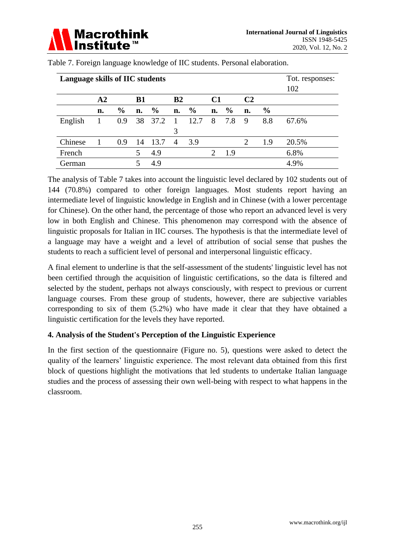| Language skills of IIC students |            |               |           |               |                |               |    |               |    |               | Tot. responses:<br>102 |
|---------------------------------|------------|---------------|-----------|---------------|----------------|---------------|----|---------------|----|---------------|------------------------|
|                                 | ${\bf A2}$ |               | <b>B1</b> |               | B <sub>2</sub> |               | C1 |               | C2 |               |                        |
|                                 | n.         | $\frac{6}{6}$ | n.        | $\frac{0}{0}$ | n.             | $\frac{0}{0}$ | n. | $\frac{0}{0}$ | n. | $\frac{6}{9}$ |                        |
| English                         |            | 0.9           |           | 38 37.2 1     |                | 12.7          | 8  | 7.8           | 9  | 8.8           | 67.6%                  |
|                                 |            |               |           |               | 3              |               |    |               |    |               |                        |
| Chinese                         |            | 0.9           | 14        | 13.7          | $\overline{4}$ | 3.9           |    |               | 2  | 1.9           | 20.5%                  |
| French                          |            |               | 5         | 4.9           |                |               | 2  | 1.9           |    |               | 6.8%                   |
| German                          |            |               |           | 4.9           |                |               |    |               |    |               | 4.9%                   |

Table 7. Foreign language knowledge of IIC students. Personal elaboration.

The analysis of Table 7 takes into account the linguistic level declared by 102 students out of 144 (70.8%) compared to other foreign languages. Most students report having an intermediate level of linguistic knowledge in English and in Chinese (with a lower percentage for Chinese). On the other hand, the percentage of those who report an advanced level is very low in both English and Chinese. This phenomenon may correspond with the absence of linguistic proposals for Italian in IIC courses. The hypothesis is that the intermediate level of a language may have a weight and a level of attribution of social sense that pushes the students to reach a sufficient level of personal and interpersonal linguistic efficacy.

A final element to underline is that the self-assessment of the students' linguistic level has not been certified through the acquisition of linguistic certifications, so the data is filtered and selected by the student, perhaps not always consciously, with respect to previous or current language courses. From these group of students, however, there are subjective variables corresponding to six of them (5.2%) who have made it clear that they have obtained a linguistic certification for the levels they have reported.

#### **4. Analysis of the Student's Perception of the Linguistic Experience**

In the first section of the questionnaire (Figure no. 5), questions were asked to detect the quality of the learners" linguistic experience. The most relevant data obtained from this first block of questions highlight the motivations that led students to undertake Italian language studies and the process of assessing their own well-being with respect to what happens in the classroom.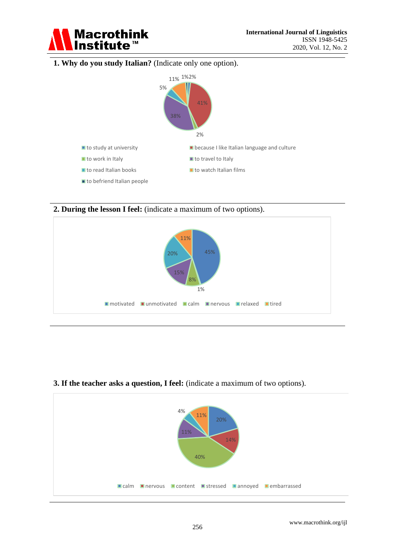

#### **1. Why do you study Italian?** (Indicate only one option).



**2. During the lesson I feel:** (indicate a maximum of two options).



#### **3. If the teacher asks a question, I feel:** (indicate a maximum of two options).

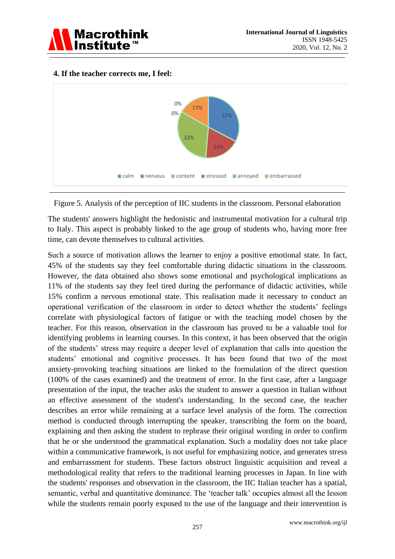



#### **4. If the teacher corrects me, I feel:**

Figure 5. Analysis of the perception of IIC students in the classroom. Personal elaboration

The students' answers highlight the hedonistic and instrumental motivation for a cultural trip to Italy. This aspect is probably linked to the age group of students who, having more free time, can devote themselves to cultural activities.

Such a source of motivation allows the learner to enjoy a positive emotional state. In fact, 45% of the students say they feel comfortable during didactic situations in the classroom. However, the data obtained also shows some emotional and psychological implications as 11% of the students say they feel tired during the performance of didactic activities, while 15% confirm a nervous emotional state. This realisation made it necessary to conduct an operational verification of the classroom in order to detect whether the students" feelings correlate with physiological factors of fatigue or with the teaching model chosen by the teacher. For this reason, observation in the classroom has proved to be a valuable tool for identifying problems in learning courses. In this context, it has been observed that the origin of the students" stress may require a deeper level of explanation that calls into question the students' emotional and cognitive processes. It has been found that two of the most anxiety-provoking teaching situations are linked to the formulation of the direct question (100% of the cases examined) and the treatment of error. In the first case, after a language presentation of the input, the teacher asks the student to answer a question in Italian without an effective assessment of the student's understanding. In the second case, the teacher describes an error while remaining at a surface level analysis of the form. The correction method is conducted through interrupting the speaker, transcribing the form on the board, explaining and then asking the student to rephrase their original wording in order to confirm that he or she understood the grammatical explanation. Such a modality does not take place within a communicative framework, is not useful for emphasizing notice, and generates stress and embarrassment for students. These factors obstruct linguistic acquisition and reveal a methodological reality that refers to the traditional learning processes in Japan. In line with the students' responses and observation in the classroom, the IIC Italian teacher has a spatial, semantic, verbal and quantitative dominance. The 'teacher talk' occupies almost all the lesson while the students remain poorly exposed to the use of the language and their intervention is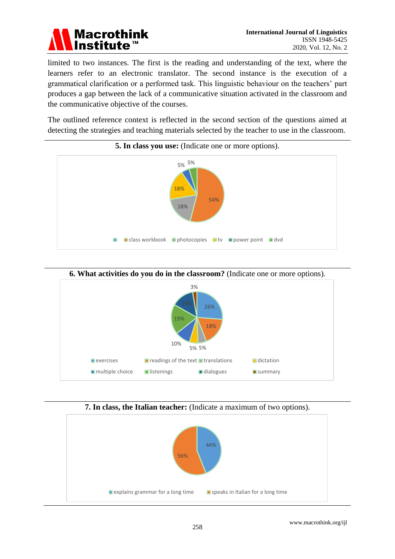

limited to two instances. The first is the reading and understanding of the text, where the learners refer to an electronic translator. The second instance is the execution of a grammatical clarification or a performed task. This linguistic behaviour on the teachers" part produces a gap between the lack of a communicative situation activated in the classroom and the communicative objective of the courses.

The outlined reference context is reflected in the second section of the questions aimed at detecting the strategies and teaching materials selected by the teacher to use in the classroom.





#### **7. In class, the Italian teacher:** (Indicate a maximum of two options).

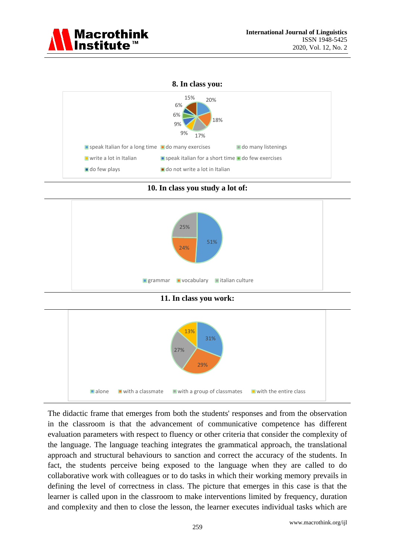

#### **8. In class you:**



**10. In class you study a lot of:**



**11. In class you work:**



The didactic frame that emerges from both the students' responses and from the observation in the classroom is that the advancement of communicative competence has different evaluation parameters with respect to fluency or other criteria that consider the complexity of the language. The language teaching integrates the grammatical approach, the translational approach and structural behaviours to sanction and correct the accuracy of the students. In fact, the students perceive being exposed to the language when they are called to do collaborative work with colleagues or to do tasks in which their working memory prevails in defining the level of correctness in class. The picture that emerges in this case is that the learner is called upon in the classroom to make interventions limited by frequency, duration and complexity and then to close the lesson, the learner executes individual tasks which are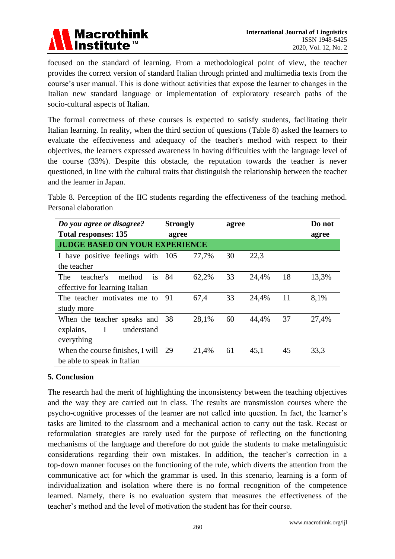

focused on the standard of learning. From a methodological point of view, the teacher provides the correct version of standard Italian through printed and multimedia texts from the course's user manual. This is done without activities that expose the learner to changes in the Italian new standard language or implementation of exploratory research paths of the socio-cultural aspects of Italian.

The formal correctness of these courses is expected to satisfy students, facilitating their Italian learning. In reality, when the third section of questions (Table 8) asked the learners to evaluate the effectiveness and adequacy of the teacher's method with respect to their objectives, the learners expressed awareness in having difficulties with the language level of the course (33%). Despite this obstacle, the reputation towards the teacher is never questioned, in line with the cultural traits that distinguish the relationship between the teacher and the learner in Japan.

Table 8. Perception of the IIC students regarding the effectiveness of the teaching method. Personal elaboration

| Do you agree or disagree?               | <b>Strongly</b> |       | agree |       |    | Do not |
|-----------------------------------------|-----------------|-------|-------|-------|----|--------|
| <b>Total responses: 135</b>             | agree           |       |       | agree |    |        |
| <b>JUDGE BASED ON YOUR EXPERIENCE</b>   |                 |       |       |       |    |        |
| I have positive feelings with 105       |                 | 77,7% | 30    | 22,3  |    |        |
| the teacher                             |                 |       |       |       |    |        |
| <b>The</b><br>teacher's<br>method<br>is | - 84            | 62,2% | 33    | 24,4% | 18 | 13,3%  |
| effective for learning Italian          |                 |       |       |       |    |        |
| The teacher motivates me to 91          |                 | 67,4  | 33    | 24,4% | 11 | 8.1%   |
| study more                              |                 |       |       |       |    |        |
| When the teacher speaks and 38          |                 | 28,1% | 60    | 44,4% | 37 | 27,4%  |
| I<br>explains,<br>understand            |                 |       |       |       |    |        |
| everything                              |                 |       |       |       |    |        |
| When the course finishes, I will 29     |                 | 21,4% | 61    | 45,1  | 45 | 33.3   |
| be able to speak in Italian             |                 |       |       |       |    |        |

#### **5. Conclusion**

The research had the merit of highlighting the inconsistency between the teaching objectives and the way they are carried out in class. The results are transmission courses where the psycho-cognitive processes of the learner are not called into question. In fact, the learner"s tasks are limited to the classroom and a mechanical action to carry out the task. Recast or reformulation strategies are rarely used for the purpose of reflecting on the functioning mechanisms of the language and therefore do not guide the students to make metalinguistic considerations regarding their own mistakes. In addition, the teacher"s correction in a top-down manner focuses on the functioning of the rule, which diverts the attention from the communicative act for which the grammar is used. In this scenario, learning is a form of individualization and isolation where there is no formal recognition of the competence learned. Namely, there is no evaluation system that measures the effectiveness of the teacher"s method and the level of motivation the student has for their course.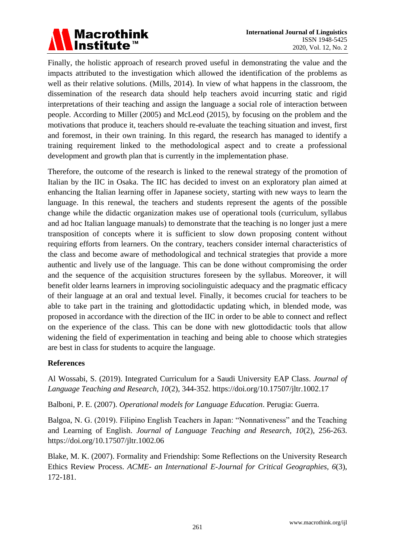

Finally, the holistic approach of research proved useful in demonstrating the value and the impacts attributed to the investigation which allowed the identification of the problems as well as their relative solutions. (Mills, 2014). In view of what happens in the classroom, the dissemination of the research data should help teachers avoid incurring static and rigid interpretations of their teaching and assign the language a social role of interaction between people. According to Miller (2005) and McLeod (2015), by focusing on the problem and the motivations that produce it, teachers should re-evaluate the teaching situation and invest, first and foremost, in their own training. In this regard, the research has managed to identify a training requirement linked to the methodological aspect and to create a professional development and growth plan that is currently in the implementation phase.

Therefore, the outcome of the research is linked to the renewal strategy of the promotion of Italian by the IIC in Osaka. The IIC has decided to invest on an exploratory plan aimed at enhancing the Italian learning offer in Japanese society, starting with new ways to learn the language. In this renewal, the teachers and students represent the agents of the possible change while the didactic organization makes use of operational tools (curriculum, syllabus and ad hoc Italian language manuals) to demonstrate that the teaching is no longer just a mere transposition of concepts where it is sufficient to slow down proposing content without requiring efforts from learners. On the contrary, teachers consider internal characteristics of the class and become aware of methodological and technical strategies that provide a more authentic and lively use of the language. This can be done without compromising the order and the sequence of the acquisition structures foreseen by the syllabus. Moreover, it will benefit older learns learners in improving sociolinguistic adequacy and the pragmatic efficacy of their language at an oral and textual level. Finally, it becomes crucial for teachers to be able to take part in the training and glottodidactic updating which, in blended mode, was proposed in accordance with the direction of the IIC in order to be able to connect and reflect on the experience of the class. This can be done with new glottodidactic tools that allow widening the field of experimentation in teaching and being able to choose which strategies are best in class for students to acquire the language.

#### **References**

Al Wossabi, S. (2019). Integrated Curriculum for a Saudi University EAP Class. *Journal of Language Teaching and Research, 10*(2), 344-352. [https://doi.org/10.17507/jltr.1002.17](http://dx.doi.org/10.17507/jltr.1002.17)

Balboni, P. E. (2007). *Operational models for Language Education*. Perugia: Guerra.

Balgoa, N. G. (2019). Filipino English Teachers in Japan: "Nonnativeness" and the Teaching and Learning of English. *Journal of Language Teaching and Research, 10*(2), 256-263. [https://doi.org/10.17507/jltr.1002.06](http://dx.doi.org/10.17507/jltr.1002.06)

Blake, M. K. (2007). Formality and Friendship: Some Reflections on the University Research Ethics Review Process. *ACME- an International E-Journal for Critical Geographies, 6*(3), 172-181.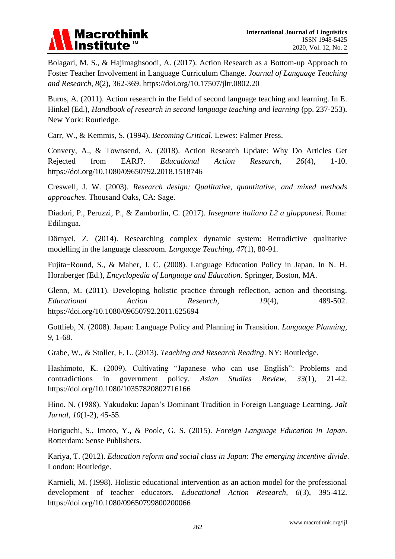

Bolagari, M. S., & Hajimaghsoodi, A. (2017). Action Research as a Bottom-up Approach to Foster Teacher Involvement in Language Curriculum Change. *Journal of Language Teaching and Research, 8*(2), 362-369. [https://doi.org/10.17507/jltr.0802.20](http://dx.doi.org/10.17507/jltr.0802.20)

Burns, A. (2011). Action research in the field of second language teaching and learning. In E. Hinkel (Ed.), *Handbook of research in second language teaching and learning* (pp. 237-253). New York: Routledge.

Carr, W., & Kemmis, S. (1994). *Becoming Critical*. Lewes: Falmer Press.

Convery, A., & Townsend, A. (2018). Action Research Update: Why Do Articles Get Rejected from EARJ?. *Educational Action Research, 26*(4), 1-10. https://doi.org/10.1080/09650792.2018.1518746

Creswell, J. W. (2003). *Research design: Qualitative, quantitative, and mixed methods approaches*. Thousand Oaks, CA: Sage.

Diadori, P., Peruzzi, P., & Zamborlin, C. (2017). *Insegnare italiano L2 a giapponesi*. Roma: Edilingua.

Dörnyei, Z. (2014). Researching complex dynamic system: Retrodictive qualitative modelling in the language classroom. *Language Teaching, 47*(1), 80-91.

Fujita-Round, S., & Maher, J. C. (2008). Language Education Policy in Japan. In N. H. Hornberger (Ed.), *Encyclopedia of Language and Education*. Springer, Boston, MA.

Glenn, M. (2011). Developing holistic practice through reflection, action and theorising. *Educational Action Research, 19*(4), 489-502. https://doi.org/10.1080/09650792.2011.625694

Gottlieb, N. (2008). Japan: Language Policy and Planning in Transition. *Language Planning, 9*, 1-68.

Grabe, W., & Stoller, F. L. (2013). *Teaching and Research Reading*. NY: Routledge.

Hashimoto, K. (2009). Cultivating "Japanese who can use English": Problems and contradictions in government policy. *Asian Studies Review, 33*(1), 21-42. https://doi.org/10.1080/10357820802716166

Hino, N. (1988). Yakudoku: Japan"s Dominant Tradition in Foreign Language Learning. *Jalt Jurnal, 10*(1-2), 45-55.

Horiguchi, S., Imoto, Y., & Poole, G. S. (2015). *Foreign Language Education in Japan*. Rotterdam: Sense Publishers.

Kariya, T. (2012). *Education reform and social class in Japan: The emerging incentive divide*. London: Routledge.

Karnieli, M. (1998). Holistic educational intervention as an action model for the professional development of teacher educators. *Educational Action Research, 6*(3), 395-412. https://doi.org/10.1080/09650799800200066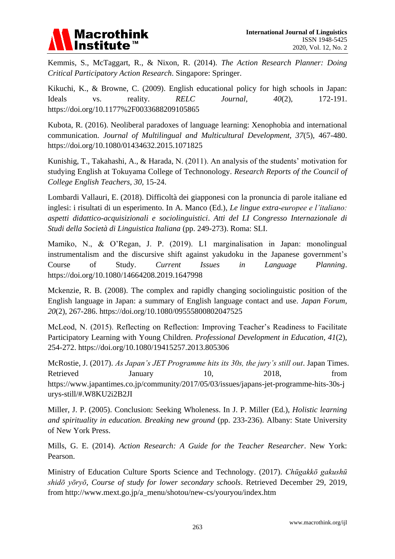

Kemmis, S., McTaggart, R., & Nixon, R. (2014). *The Action Research Planner: Doing Critical Participatory Action Research*. Singapore: Springer.

Kikuchi, K., & Browne, C. (2009). English educational policy for high schools in Japan: Ideals vs. reality. *RELC Journal, 40*(2)*,* 172-191. https://doi.org/10.1177%2F0033688209105865

Kubota, R. (2016). Neoliberal paradoxes of language learning: Xenophobia and international communication. *Journal of Multilingual and Multicultural Development, 37*(5), 467-480. https://doi.org/10.1080/01434632.2015.1071825

Kunishig, T., Takahashi, A., & Harada, N. (2011). An analysis of the students" motivation for studying English at Tokuyama College of Technonology. *Research Reports of the Council of College English Teachers, 30,* 15-24.

Lombardi Vallauri, E. (2018). Difficoltà dei giapponesi con la pronuncia di parole italiane ed inglesi: i risultati di un esperimento. In A. Manco (Ed.), *Le lingue extra-europee e l'italiano: aspetti didattico-acquisizionali e sociolinguistici*. *Atti del LI Congresso Internazionale di Studi della Società di Linguistica Italiana* (pp. 249-273). Roma: SLI.

Mamiko, N., & O"Regan, J. P. (2019). L1 marginalisation in Japan: monolingual instrumentalism and the discursive shift against yakudoku in the Japanese government's Course of Study. *Current Issues in Language Planning*. https://doi.org/10.1080/14664208.2019.1647998

Mckenzie, R. B. (2008). The complex and rapidly changing sociolinguistic position of the English language in Japan: a summary of English language contact and use. *Japan Forum, 20*(2), 267-286. https://doi.org/10.1080/09555800802047525

McLeod, N. (2015). Reflecting on Reflection: Improving Teacher's Readiness to Facilitate Participatory Learning with Young Children. *Professional Development in Education, 41*(2), 254-272. https://doi.org/10.1080/19415257.2013.805306

McRostie, J. (2017). *As Japan's JET Programme hits its 30s, the jury's still out*. Japan Times. Retrieved January 10, 2018, from https://www.japantimes.co.jp/community/2017/05/03/issues/japans-jet-programme-hits-30s-j urys-still/#.W8KU2i2B2JI

Miller, J. P. (2005). Conclusion: Seeking Wholeness. In J. P. Miller (Ed.), *Holistic learning and spirituality in education. Breaking new ground* (pp. 233-236). Albany: State University of New York Press.

Mills, G. E. (2014). *Action Research: A Guide for the Teacher Researcher*. New York: Pearson.

Ministry of Education Culture Sports Science and Technology. (2017). *Chūgakkō gakushū shidō yōryō, Course of study for lower secondary schools*. Retrieved December 29, 2019, from [http://www.mext.go.jp/a\\_menu/shotou/new-cs/youryou/index.htm](http://www.mext.go.jp/a_menu/shotou/new-cs/youryou/index.htm)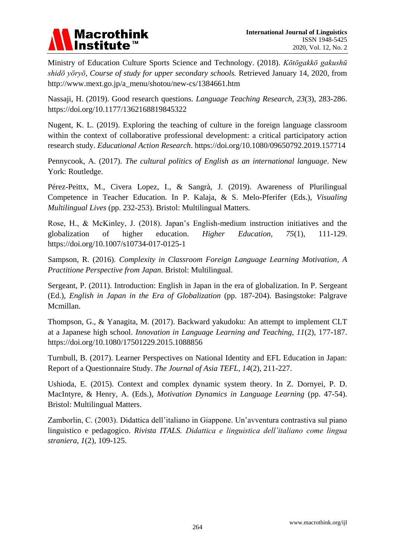

Ministry of Education Culture Sports Science and Technology. (2018). *Kōtōgakkō gakushū shidō yōryō, Course of study for upper secondary schools.* Retrieved January 14, 2020, from [http://www.mext.go.jp/a\\_menu/shotou/new-cs/1384661.htm](http://www.mext.go.jp/a_menu/shotou/new-cs/1384661.htm)

Nassaji, H. (2019). Good research questions. *Language Teaching Research, 23*(3), 283-286. <https://doi.org/10.1177/1362168819845322>

Nugent, K. L. (2019). Exploring the teaching of culture in the foreign language classroom within the context of collaborative professional development: a critical participatory action research study. *Educational Action Research*. https://doi.org/10.1080/09650792.2019.157714

Pennycook, A. (2017). *The cultural politics of English as an international language*. New York: Routledge.

Pérez-Peittx, M., Civera Lopez, I., & Sangrà, J. (2019). Awareness of Plurilingual Competence in Teacher Education. In P. Kalaja, & S. Melo-Pferifer (Eds.), *Visualing Multilingual Lives* (pp. 232-253). Bristol: Multilingual Matters.

Rose, H., & McKinley, J. (2018). Japan"s English-medium instruction initiatives and the globalization of higher education. *Higher Education, 75*(1), 111-129. https://doi.org/10.1007/s10734-017-0125-1

Sampson, R. (2016). *Complexity in Classroom Foreign Language Learning Motivation, A Practitione Perspective from Japan*. Bristol: Multilingual.

Sergeant, P. (2011). Introduction: English in Japan in the era of globalization. In P. Sergeant (Ed.), *English in Japan in the Era of Globalization* (pp. 187-204). Basingstoke: Palgrave Mcmillan.

Thompson, G., & Yanagita, M. (2017). Backward yakudoku: An attempt to implement CLT at a Japanese high school. *Innovation in Language Learning and Teaching, 11*(2), 177-187. https://doi.org/10.1080/17501229.2015.1088856

Turnbull, B. (2017). Learner Perspectives on National Identity and EFL Education in Japan: Report of a Questionnaire Study. *The Journal of Asia TEFL, 14*(2), 211-227.

Ushioda, E. (2015). Context and complex dynamic system theory. In Z. Dornyei, P. D. MacIntyre, & Henry, A. (Eds.), *Motivation Dynamics in Language Learning* (pp. 47-54). Bristol: Multilingual Matters.

Zamborlin, C. (2003). Didattica dell"italiano in Giappone. Un"avventura contrastiva sul piano linguistico e pedagogico. *Rivista ITALS. Didattica e linguistica dell'italiano come lingua straniera, 1*(2), 109-125.